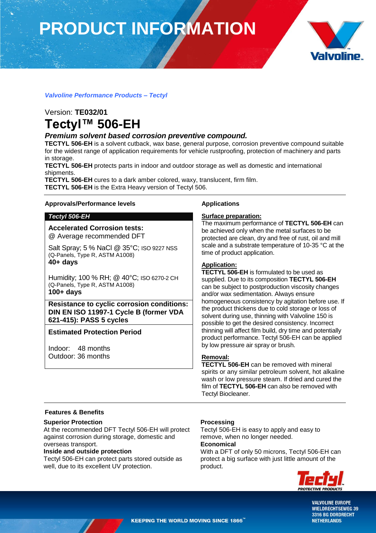# **PRODUCT INFORMATION**



# *Valvoline Performance Products – Tectyl*

# Version: **TE032/01 Tectyl™ 506-EH**

# *Premium solvent based corrosion preventive compound.*

**TECTYL 506-EH** is a solvent cutback, wax base, general purpose, corrosion preventive compound suitable for the widest range of application requirements for vehicle rustproofing, protection of machinery and parts in storage.

**TECTYL 506-EH** protects parts in indoor and outdoor storage as well as domestic and international shipments.

**TECTYL 506-EH** cures to a dark amber colored, waxy, translucent, firm film. **TECTYL 506-EH** is the Extra Heavy version of Tectyl 506.

## **Approvals/Performance levels**

# *Tectyl 506-EH*

**Accelerated Corrosion tests:** @ Average recommended DFT

Salt Spray; 5 % NaCl @ 35°C; ISO 9227 NSS (Q-Panels, Type R, ASTM A1008) **40+ days**

Humidity; 100 % RH; @ 40°C; ISO 6270-2 CH (Q-Panels, Type R, ASTM A1008) **100+ days**

**Resistance to cyclic corrosion conditions: DIN EN ISO 11997-1 Cycle B (former VDA 621-415): PASS 5 cycles**

# **Estimated Protection Period**

Indoor: 48 months Outdoor: 36 months

# **Applications**

## **Surface preparation:**

The maximum performance of **TECTYL 506-EH** can be achieved only when the metal surfaces to be protected are clean, dry and free of rust, oil and mill scale and a substrate temperature of 10-35 °C at the time of product application.

# **Application:**

**TECTYL 506-EH** is formulated to be used as supplied. Due to its composition **TECTYL 506-EH** can be subject to postproduction viscosity changes and/or wax sedimentation. Always ensure homogeneous consistency by agitation before use. If the product thickens due to cold storage or loss of solvent during use, thinning with Valvoline 150 is possible to get the desired consistency. Incorrect thinning will affect film build, dry time and potentially product performance. Tectyl 506-EH can be applied by low pressure air spray or brush.

## **Removal:**

**TECTYL 506-EH** can be removed with mineral spirits or any similar petroleum solvent, hot alkaline wash or low pressure steam. If dried and cured the film of **TECTYL 506-EH** can also be removed with Tectyl Biocleaner.

# **Features & Benefits**

## **Superior Protection**

At the recommended DFT Tectyl 506-EH will protect against corrosion during storage, domestic and overseas transport.

# **Inside and outside protection**

Tectyl 506-EH can protect parts stored outside as well, due to its excellent UV protection.

## **Processing**

Tectyl 506-EH is easy to apply and easy to remove, when no longer needed.

# **Economical**

With a DFT of only 50 microns, Tectyl 506-EH can protect a big surface with just little amount of the product.



**VALVOLINE EUROPE WIELDRECHTSEWEG 39** 3316 BG DORDRECHT **NETHERLANDS**